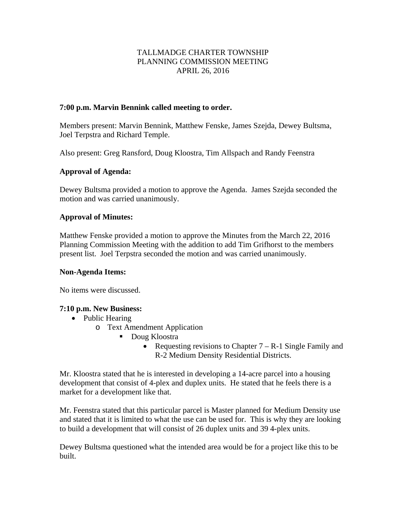## TALLMADGE CHARTER TOWNSHIP PLANNING COMMISSION MEETING APRIL 26, 2016

## **7:00 p.m. Marvin Bennink called meeting to order.**

Members present: Marvin Bennink, Matthew Fenske, James Szejda, Dewey Bultsma, Joel Terpstra and Richard Temple.

Also present: Greg Ransford, Doug Kloostra, Tim Allspach and Randy Feenstra

## **Approval of Agenda:**

Dewey Bultsma provided a motion to approve the Agenda. James Szejda seconded the motion and was carried unanimously.

## **Approval of Minutes:**

Matthew Fenske provided a motion to approve the Minutes from the March 22, 2016 Planning Commission Meeting with the addition to add Tim Grifhorst to the members present list. Joel Terpstra seconded the motion and was carried unanimously.

#### **Non-Agenda Items:**

No items were discussed.

#### **7:10 p.m. New Business:**

- Public Hearing
	- o Text Amendment Application
		- **Doug Kloostra** 
			- Requesting revisions to Chapter  $7 R 1$  Single Family and R-2 Medium Density Residential Districts.

Mr. Kloostra stated that he is interested in developing a 14-acre parcel into a housing development that consist of 4-plex and duplex units. He stated that he feels there is a market for a development like that.

Mr. Feenstra stated that this particular parcel is Master planned for Medium Density use and stated that it is limited to what the use can be used for. This is why they are looking to build a development that will consist of 26 duplex units and 39 4-plex units.

Dewey Bultsma questioned what the intended area would be for a project like this to be built.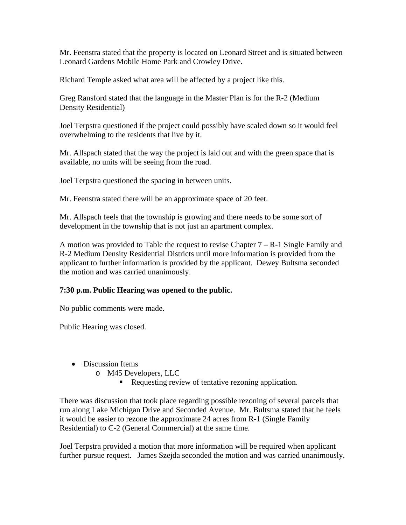Mr. Feenstra stated that the property is located on Leonard Street and is situated between Leonard Gardens Mobile Home Park and Crowley Drive.

Richard Temple asked what area will be affected by a project like this.

Greg Ransford stated that the language in the Master Plan is for the R-2 (Medium Density Residential)

Joel Terpstra questioned if the project could possibly have scaled down so it would feel overwhelming to the residents that live by it.

Mr. Allspach stated that the way the project is laid out and with the green space that is available, no units will be seeing from the road.

Joel Terpstra questioned the spacing in between units.

Mr. Feenstra stated there will be an approximate space of 20 feet.

Mr. Allspach feels that the township is growing and there needs to be some sort of development in the township that is not just an apartment complex.

A motion was provided to Table the request to revise Chapter 7 – R-1 Single Family and R-2 Medium Density Residential Districts until more information is provided from the applicant to further information is provided by the applicant. Dewey Bultsma seconded the motion and was carried unanimously.

## **7:30 p.m. Public Hearing was opened to the public.**

No public comments were made.

Public Hearing was closed.

- Discussion Items
	- o M45 Developers, LLC
		- Requesting review of tentative rezoning application.

There was discussion that took place regarding possible rezoning of several parcels that run along Lake Michigan Drive and Seconded Avenue. Mr. Bultsma stated that he feels it would be easier to rezone the approximate 24 acres from R-1 (Single Family Residential) to C-2 (General Commercial) at the same time.

Joel Terpstra provided a motion that more information will be required when applicant further pursue request. James Szejda seconded the motion and was carried unanimously.